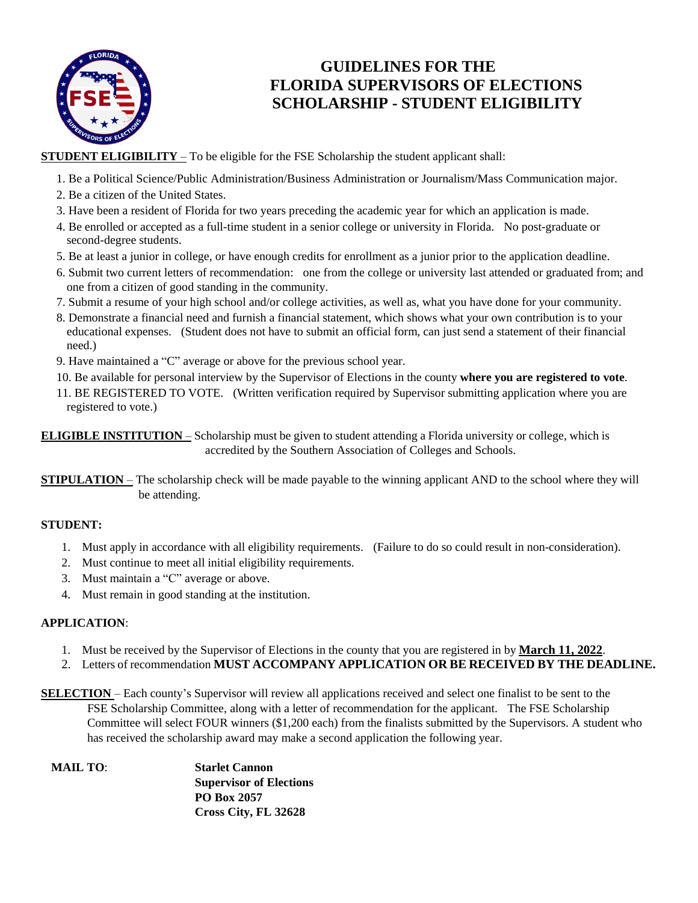

### **GUIDELINES FOR THE FLORIDA SUPERVISORS OF ELECTIONS SCHOLARSHIP - STUDENT ELIGIBILITY**

**STUDENT ELIGIBILITY** – To be eligible for the FSE Scholarship the student applicant shall:

- 1. Be a Political Science/Public Administration/Business Administration or Journalism/Mass Communication major.
- 2. Be a citizen of the United States.
- 3. Have been a resident of Florida for two years preceding the academic year for which an application is made.
- 4. Be enrolled or accepted as a full-time student in a senior college or university in Florida. No post-graduate or second-degree students.
- 5. Be at least a junior in college, or have enough credits for enrollment as a junior prior to the application deadline.
- 6. Submit two current letters of recommendation: one from the college or university last attended or graduated from; and one from a citizen of good standing in the community.
- 7. Submit a resume of your high school and/or college activities, as well as, what you have done for your community.
- 8. Demonstrate a financial need and furnish a financial statement, which shows what your own contribution is to your educational expenses. (Student does not have to submit an official form, can just send a statement of their financial need.)
- 9. Have maintained a "C" average or above for the previous school year.
- 10. Be available for personal interview by the Supervisor of Elections in the county **where you are registered to vote**.
- 11. BE REGISTERED TO VOTE. (Written verification required by Supervisor submitting application where you are registered to vote.)

**ELIGIBLE INSTITUTION** – Scholarship must be given to student attending a Florida university or college, which is accredited by the Southern Association of Colleges and Schools.

**STIPULATION** – The scholarship check will be made payable to the winning applicant AND to the school where they will be attending.

### **STUDENT:**

- 1. Must apply in accordance with all eligibility requirements. (Failure to do so could result in non-consideration).
- 2. Must continue to meet all initial eligibility requirements.
- 3. Must maintain a "C" average or above.
- 4. Must remain in good standing at the institution.

#### **APPLICATION**:

- 1. Must be received by the Supervisor of Elections in the county that you are registered in by **March 11, 2022**.
- 2. Letters of recommendation **MUST ACCOMPANY APPLICATION OR BE RECEIVED BY THE DEADLINE.**
- **SELECTION** Each county's Supervisor will review all applications received and select one finalist to be sent to the FSE Scholarship Committee, along with a letter of recommendation for the applicant. The FSE Scholarship Committee will select FOUR winners (\$1,200 each) from the finalists submitted by the Supervisors. A student who has received the scholarship award may make a second application the following year.
	- **MAIL TO**: **Starlet Cannon Supervisor of Elections PO Box 2057 Cross City, FL 32628**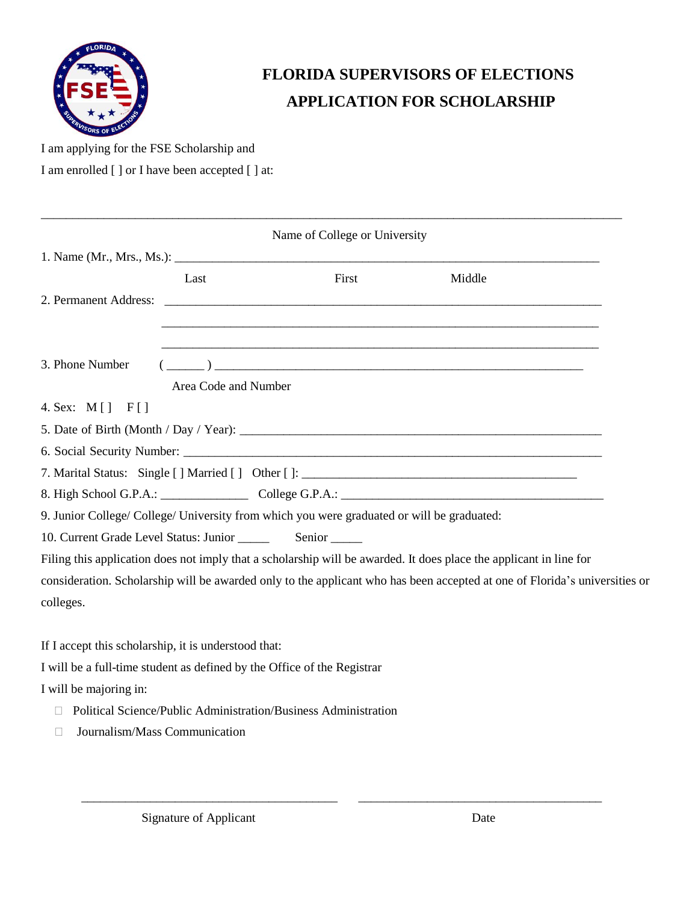

# **FLORIDA SUPERVISORS OF ELECTIONS APPLICATION FOR SCHOLARSHIP**

I am applying for the FSE Scholarship and

I am enrolled [ ] or I have been accepted [ ] at:

| Name of College or University                                                                                              |                      |                                                                                                                                                                                                                                                                                                                                                                    |                                                                                                                    |  |
|----------------------------------------------------------------------------------------------------------------------------|----------------------|--------------------------------------------------------------------------------------------------------------------------------------------------------------------------------------------------------------------------------------------------------------------------------------------------------------------------------------------------------------------|--------------------------------------------------------------------------------------------------------------------|--|
|                                                                                                                            |                      |                                                                                                                                                                                                                                                                                                                                                                    |                                                                                                                    |  |
|                                                                                                                            | Last                 | First                                                                                                                                                                                                                                                                                                                                                              | Middle                                                                                                             |  |
|                                                                                                                            |                      |                                                                                                                                                                                                                                                                                                                                                                    |                                                                                                                    |  |
|                                                                                                                            |                      |                                                                                                                                                                                                                                                                                                                                                                    |                                                                                                                    |  |
| 3. Phone Number                                                                                                            |                      | <u> 1989 - Johann Stoff, deutscher Stoff, der Stoff, der Stoff, der Stoff, der Stoff, der Stoff, der Stoff, der S</u>                                                                                                                                                                                                                                              |                                                                                                                    |  |
|                                                                                                                            | Area Code and Number | $\begin{picture}(150,10) \put(0,0){\vector(1,0){100}} \put(15,0){\vector(1,0){100}} \put(15,0){\vector(1,0){100}} \put(15,0){\vector(1,0){100}} \put(15,0){\vector(1,0){100}} \put(15,0){\vector(1,0){100}} \put(15,0){\vector(1,0){100}} \put(15,0){\vector(1,0){100}} \put(15,0){\vector(1,0){100}} \put(15,0){\vector(1,0){100}} \put(15,0){\vector(1,0){100}}$ |                                                                                                                    |  |
| 4. Sex: M[] F[]                                                                                                            |                      |                                                                                                                                                                                                                                                                                                                                                                    |                                                                                                                    |  |
|                                                                                                                            |                      |                                                                                                                                                                                                                                                                                                                                                                    |                                                                                                                    |  |
|                                                                                                                            |                      |                                                                                                                                                                                                                                                                                                                                                                    |                                                                                                                    |  |
|                                                                                                                            |                      | 7. Marital Status: Single [] Married [] Other []: _______________________________                                                                                                                                                                                                                                                                                  |                                                                                                                    |  |
|                                                                                                                            |                      |                                                                                                                                                                                                                                                                                                                                                                    | 8. High School G.P.A.: College G.P.A.: College G.P.A.: College G.P.A.:                                             |  |
|                                                                                                                            |                      | 9. Junior College/ College/ University from which you were graduated or will be graduated:                                                                                                                                                                                                                                                                         |                                                                                                                    |  |
|                                                                                                                            |                      |                                                                                                                                                                                                                                                                                                                                                                    |                                                                                                                    |  |
|                                                                                                                            |                      |                                                                                                                                                                                                                                                                                                                                                                    | Filing this application does not imply that a scholarship will be awarded. It does place the applicant in line for |  |
| consideration. Scholarship will be awarded only to the applicant who has been accepted at one of Florida's universities or |                      |                                                                                                                                                                                                                                                                                                                                                                    |                                                                                                                    |  |
| colleges.                                                                                                                  |                      |                                                                                                                                                                                                                                                                                                                                                                    |                                                                                                                    |  |
|                                                                                                                            |                      |                                                                                                                                                                                                                                                                                                                                                                    |                                                                                                                    |  |
| If I accept this scholarship, it is understood that:                                                                       |                      |                                                                                                                                                                                                                                                                                                                                                                    |                                                                                                                    |  |
| I will be a full-time student as defined by the Office of the Registrar                                                    |                      |                                                                                                                                                                                                                                                                                                                                                                    |                                                                                                                    |  |
| I will be majoring in:                                                                                                     |                      |                                                                                                                                                                                                                                                                                                                                                                    |                                                                                                                    |  |

\_\_\_\_\_\_\_\_\_\_\_\_\_\_\_\_\_\_\_\_\_\_\_\_\_\_\_\_\_\_\_\_\_\_\_\_\_\_\_\_\_\_\_\_\_\_\_\_\_\_\_\_\_\_\_\_\_\_\_\_\_\_\_\_\_\_\_\_\_\_\_\_\_\_\_\_\_\_\_\_\_\_\_\_\_\_\_\_\_\_\_\_\_

- Political Science/Public Administration/Business Administration
- Journalism/Mass Communication

\_\_\_\_\_\_\_\_\_\_\_\_\_\_\_\_\_\_\_\_\_\_\_\_\_\_\_\_\_\_\_\_\_\_\_\_\_\_\_\_\_